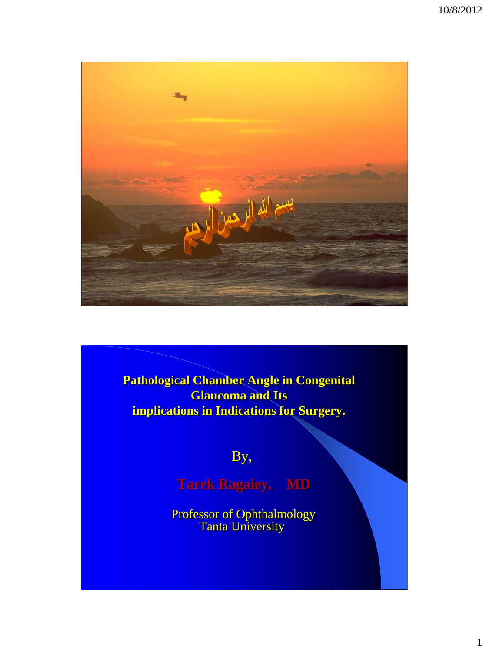

**Pathological Chamber Angle in Congenital Glaucoma and Its implications in Indications for Surgery.**

By,

**Tarek Ragaiey, MD**

Professor of Ophthalmology Tanta University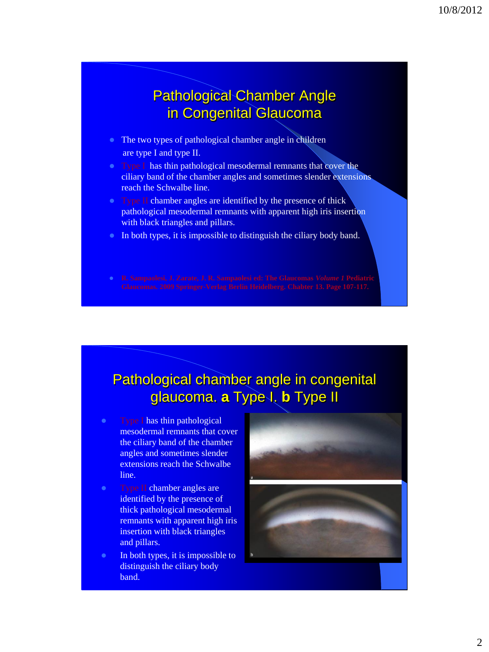## Pathological Chamber Angle in Congenital Glaucoma

- The two types of pathological chamber angle in children are type I and type II.
- Type I has thin pathological mesodermal remnants that cover the ciliary band of the chamber angles and sometimes slender extensions reach the Schwalbe line.
- Type II chamber angles are identified by the presence of thick pathological mesodermal remnants with apparent high iris insertion with black triangles and pillars.
- In both types, it is impossible to distinguish the ciliary body band.
- 

## Pathological chamber angle in congenital glaucoma. **a** Type I. **b** Type II

- Type I has thin pathological mesodermal remnants that cover the ciliary band of the chamber angles and sometimes slender extensions reach the Schwalbe line.
- Type II chamber angles are identified by the presence of thick pathological mesodermal remnants with apparent high iris insertion with black triangles and pillars.
- In both types, it is impossible to distinguish the ciliary body band.



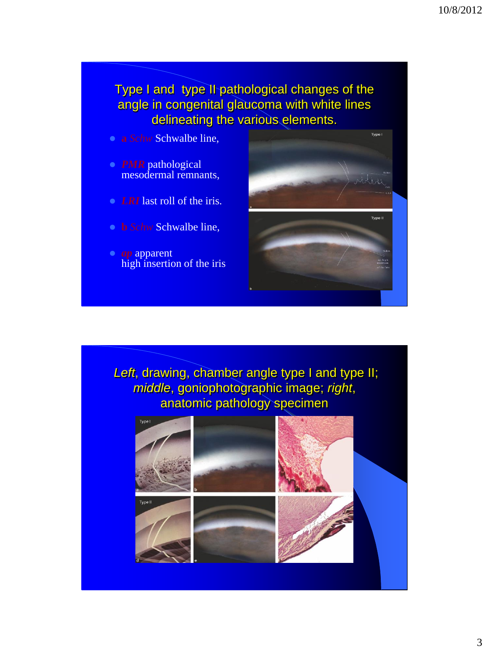Type I and type II pathological changes of the angle in congenital glaucoma with white lines delineating the various elements.

- **a** *Schw* Schwalbe line,
- *PMR* pathological mesodermal remnants,
- *LRI* last roll of the iris.
- **b** *Schw* Schwalbe line,
- *ap* apparent high insertion of the iris



Left, drawing, chamber angle type I and type II; *middle*, goniophotographic image; *right*, anatomic pathology specimen

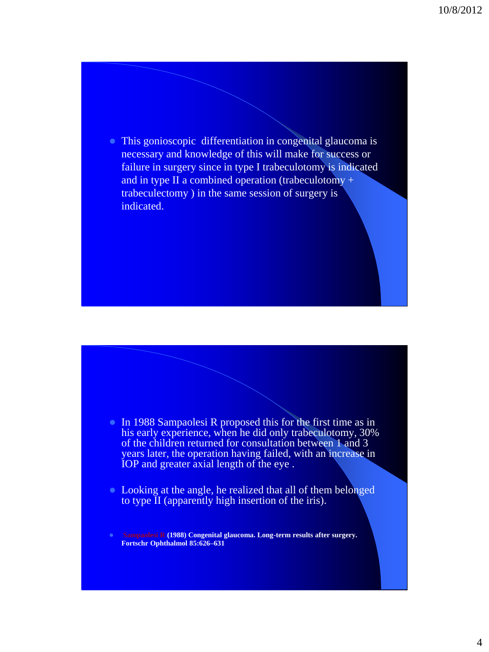• This gonioscopic differentiation in congenital glaucoma is necessary and knowledge of this will make for success or failure in surgery since in type I trabeculotomy is indicated and in type II a combined operation (trabeculotomy + trabeculectomy ) in the same session of surgery is indicated.

- In 1988 Sampaolesi R proposed this for the first time as in his early experience, when he did only trabeculotomy, 30% of the children returned for consultation between 1 and 3 years later, the operation having failed, with an increase in IOP and greater axial length of the eye .
- Looking at the angle, he realized that all of them belonged to type II (apparently high insertion of the iris).

 **Sampaolesi R (1988) Congenital glaucoma. Long-term results after surgery. Fortschr Ophthalmol 85:626–631**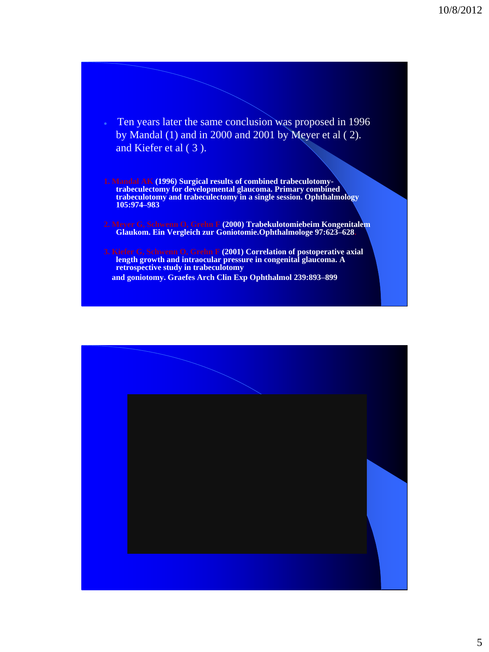- Ten years later the same conclusion was proposed in 1996 by Mandal (1) and in 2000 and 2001 by Meyer et al ( 2). and Kiefer et al ( 3 ).
- **1. Mandal AK (1996) Surgical results of combined trabeculotomytrabeculectomy for developmental glaucoma. Primary combined trabeculotomy and trabeculectomy in a single session. Ophthalmology 105:974–983**
- **2. Meyer G, Schwenn O, Grehn F (2000) Trabekulotomiebeim Kongenitalem Glaukom. Ein Vergleich zur Goniotomie.Ophthalmologe 97:623–628.**
- **3. Kiefer G, Schwenn O, Grehn F (2001) Correlation of postoperative axial length growth and intraocular pressure in congenital glaucoma. A retrospective study in trabeculotomy and goniotomy. Graefes Arch Clin Exp Ophthalmol 239:893–899**